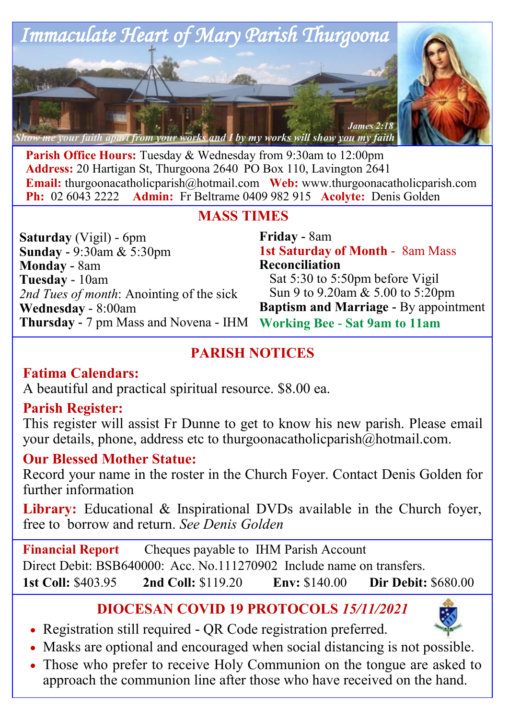

**Parish Office Hours:** Tuesday & Wednesday from 9:30am to 12:00pm **Address:** 20 Hartigan St, Thurgoona 2640 PO Box 110, Lavington 2641 **Email:** thurgoonacatholicparish@hotmail.com **Web:** www.thurgoonacatholicparish.com **Ph:** 02 6043 2222 **Admin:** Fr Beltrame 0409 982 915 **Acolyte:** Denis Golden

#### **MASS TIMES**

**Saturday** (Vigil) - 6pm **Sunday -** 9:30am & 5:30pm **Monday -** 8am **Tuesday** - 10am *2nd Tues of month*: Anointing of the sick **Wednesday** - 8:00am **Thursday -** 7 pm Mass and Novena - IHM

**Friday -** 8am **1st Saturday of Month** - 8am Mass **Reconciliation**  Sat 5:30 to 5:50pm before Vigil Sun 9 to 9.20am & 5.00 to 5:20pm **Baptism and Marriage -** By appointment **Working Bee - Sat 9am to 11am**

# **PARISH NOTICES**

### **Fatima Calendars:**

A beautiful and practical spiritual resource. \$8.00 ea.

### **Parish Register:**

This register will assist Fr Dunne to get to know his new parish. Please email your details, phone, address etc to thurgoonacatholicparish@hotmail.com.

# **Our Blessed Mother Statue:**

Record your name in the roster in the Church Foyer. Contact Denis Golden for further information

**Library:** Educational & Inspirational DVDs available in the Church foyer, free to borrow and return. *See Denis Golden* 

**Financial Report** Cheques payable to IHM Parish Account Direct Debit: BSB640000: Acc. No.111270902 Include name on transfers. **1st Coll:** \$403.95 **2nd Coll:** \$119.20 **Env:** \$140.00 **Dir Debit:** \$680.00

# **DIOCESAN COVID 19 PROTOCOLS** *15/11/2021*

- Registration still required QR Code registration preferred.
- Masks are optional and encouraged when social distancing is not possible.
- Those who prefer to receive Holy Communion on the tongue are asked to approach the communion line after those who have received on the hand.

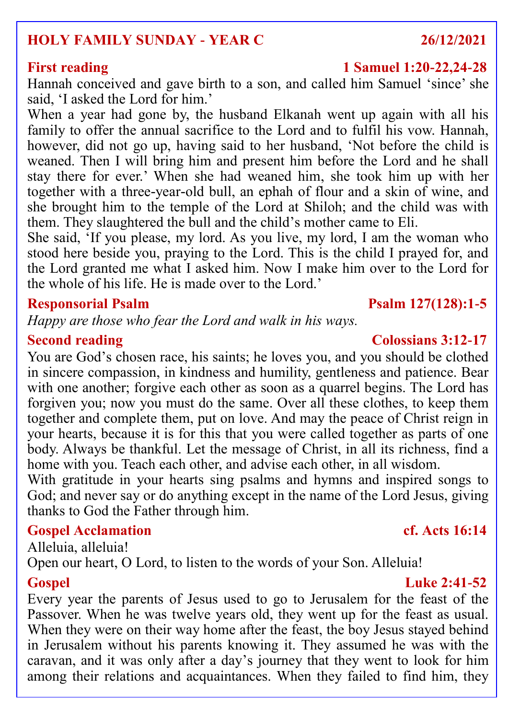### **HOLY FAMILY SUNDAY - YEAR C 26/12/2021**

Hannah conceived and gave birth to a son, and called him Samuel 'since' she said, 'I asked the Lord for him.'

When a year had gone by, the husband Elkanah went up again with all his family to offer the annual sacrifice to the Lord and to fulfil his vow. Hannah, however, did not go up, having said to her husband, 'Not before the child is weaned. Then I will bring him and present him before the Lord and he shall stay there for ever.' When she had weaned him, she took him up with her together with a three-year-old bull, an ephah of flour and a skin of wine, and she brought him to the temple of the Lord at Shiloh; and the child was with them. They slaughtered the bull and the child's mother came to Eli.

She said, 'If you please, my lord. As you live, my lord, I am the woman who stood here beside you, praying to the Lord. This is the child I prayed for, and the Lord granted me what I asked him. Now I make him over to the Lord for the whole of his life. He is made over to the Lord.'

#### **Responsorial Psalm Psalm 127(128):1-5**

*Happy are those who fear the Lord and walk in his ways.*

You are God's chosen race, his saints; he loves you, and you should be clothed in sincere compassion, in kindness and humility, gentleness and patience. Bear with one another; forgive each other as soon as a quarrel begins. The Lord has forgiven you; now you must do the same. Over all these clothes, to keep them together and complete them, put on love. And may the peace of Christ reign in your hearts, because it is for this that you were called together as parts of one body. Always be thankful. Let the message of Christ, in all its richness, find a home with you. Teach each other, and advise each other, in all wisdom.

With gratitude in your hearts sing psalms and hymns and inspired songs to God; and never say or do anything except in the name of the Lord Jesus, giving thanks to God the Father through him.

### **Gospel Acclamation cf. Acts 16:14**

Alleluia, alleluia! Open our heart, O Lord, to listen to the words of your Son. Alleluia!

#### **Gospel Luke 2:41-52**

Every year the parents of Jesus used to go to Jerusalem for the feast of the Passover. When he was twelve years old, they went up for the feast as usual. When they were on their way home after the feast, the boy Jesus stayed behind in Jerusalem without his parents knowing it. They assumed he was with the caravan, and it was only after a day's journey that they went to look for him among their relations and acquaintances. When they failed to find him, they

#### **Second reading Colossians 3:12-17**

#### **First reading 1 Samuel 1:20-22,24-28**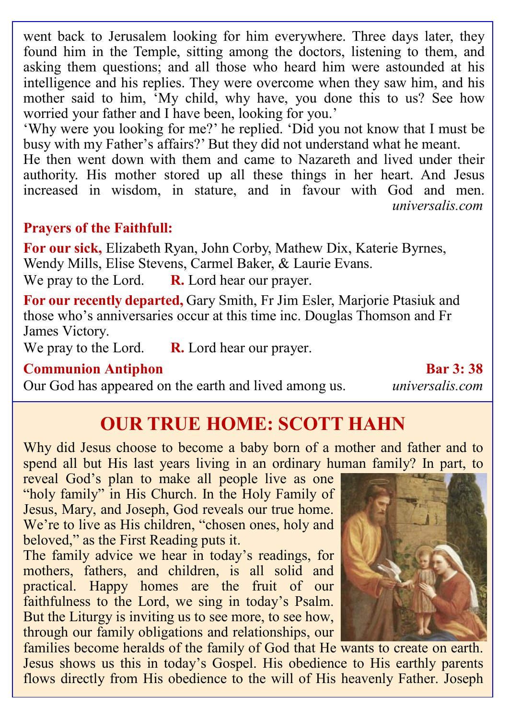went back to Jerusalem looking for him everywhere. Three days later, they found him in the Temple, sitting among the doctors, listening to them, and asking them questions; and all those who heard him were astounded at his intelligence and his replies. They were overcome when they saw him, and his mother said to him, 'My child, why have, you done this to us? See how worried your father and I have been, looking for you.'

'Why were you looking for me?' he replied. 'Did you not know that I must be busy with my Father's affairs?' But they did not understand what he meant.

He then went down with them and came to Nazareth and lived under their authority. His mother stored up all these things in her heart. And Jesus increased in wisdom, in stature, and in favour with God and men. *universalis.com*

### **Prayers of the Faithfull:**

**For our sick,** Elizabeth Ryan, John Corby, Mathew Dix, Katerie Byrnes, Wendy Mills, Elise Stevens, Carmel Baker, & Laurie Evans. We pray to the Lord. **R.** Lord hear our prayer.

**For our recently departed,** Gary Smith, Fr Jim Esler, Marjorie Ptasiuk and those who's anniversaries occur at this time inc. Douglas Thomson and Fr James Victory.

We pray to the Lord. **R.** Lord hear our prayer.

#### **Communion Antiphon Bar 3: 38**

Our God has appeared on the earth and lived among us. *universalis.com*

# **OUR TRUE HOME: SCOTT HAHN**

Why did Jesus choose to become a baby born of a mother and father and to spend all but His last years living in an ordinary human family? In part, to

reveal God's plan to make all people live as one "holy family" in His Church. In the Holy Family of Jesus, Mary, and Joseph, God reveals our true home. We're to live as His children, "chosen ones, holy and beloved," as the First Reading puts it.

The family advice we hear in today's readings, for mothers, fathers, and children, is all solid and practical. Happy homes are the fruit of our faithfulness to the Lord, we sing in today's Psalm. But the Liturgy is inviting us to see more, to see how, through our family obligations and relationships, our



families become heralds of the family of God that He wants to create on earth. Jesus shows us this in today's Gospel. His obedience to His earthly parents flows directly from His obedience to the will of His heavenly Father. Joseph